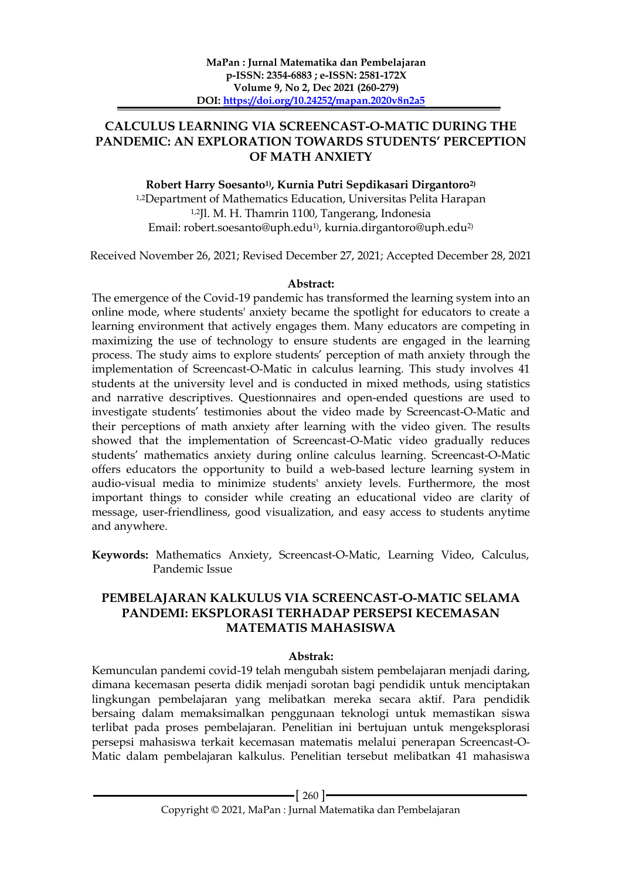# **CALCULUS LEARNING VIA SCREENCAST-O-MATIC DURING THE PANDEMIC: AN EXPLORATION TOWARDS STUDENTS' PERCEPTION OF MATH ANXIETY**

## **Robert Harry Soesanto1) , Kurnia Putri Sepdikasari Dirgantoro2)**

1,2Department of Mathematics Education, Universitas Pelita Harapan 1,2Jl. M. H. Thamrin 1100, Tangerang, Indonesia Email: robert.soesanto@uph.edu1) , kurnia.dirgantoro@uph.edu2)

Received November 26, 2021; Revised December 27, 2021; Accepted December 28, 2021

## **Abstract:**

The emergence of the Covid-19 pandemic has transformed the learning system into an online mode, where students' anxiety became the spotlight for educators to create a learning environment that actively engages them. Many educators are competing in maximizing the use of technology to ensure students are engaged in the learning process. The study aims to explore students' perception of math anxiety through the implementation of Screencast-O-Matic in calculus learning. This study involves 41 students at the university level and is conducted in mixed methods, using statistics and narrative descriptives. Questionnaires and open-ended questions are used to investigate students' testimonies about the video made by Screencast-O-Matic and their perceptions of math anxiety after learning with the video given. The results showed that the implementation of Screencast-O-Matic video gradually reduces students' mathematics anxiety during online calculus learning. Screencast-O-Matic offers educators the opportunity to build a web-based lecture learning system in audio-visual media to minimize students' anxiety levels. Furthermore, the most important things to consider while creating an educational video are clarity of message, user-friendliness, good visualization, and easy access to students anytime and anywhere.

**Keywords:** Mathematics Anxiety, Screencast-O-Matic, Learning Video, Calculus, Pandemic Issue

# **PEMBELAJARAN KALKULUS VIA SCREENCAST-O-MATIC SELAMA PANDEMI: EKSPLORASI TERHADAP PERSEPSI KECEMASAN MATEMATIS MAHASISWA**

## **Abstrak:**

Kemunculan pandemi covid-19 telah mengubah sistem pembelajaran menjadi daring, dimana kecemasan peserta didik menjadi sorotan bagi pendidik untuk menciptakan lingkungan pembelajaran yang melibatkan mereka secara aktif. Para pendidik bersaing dalam memaksimalkan penggunaan teknologi untuk memastikan siswa terlibat pada proses pembelajaran. Penelitian ini bertujuan untuk mengeksplorasi persepsi mahasiswa terkait kecemasan matematis melalui penerapan Screencast-O-Matic dalam pembelajaran kalkulus. Penelitian tersebut melibatkan 41 mahasiswa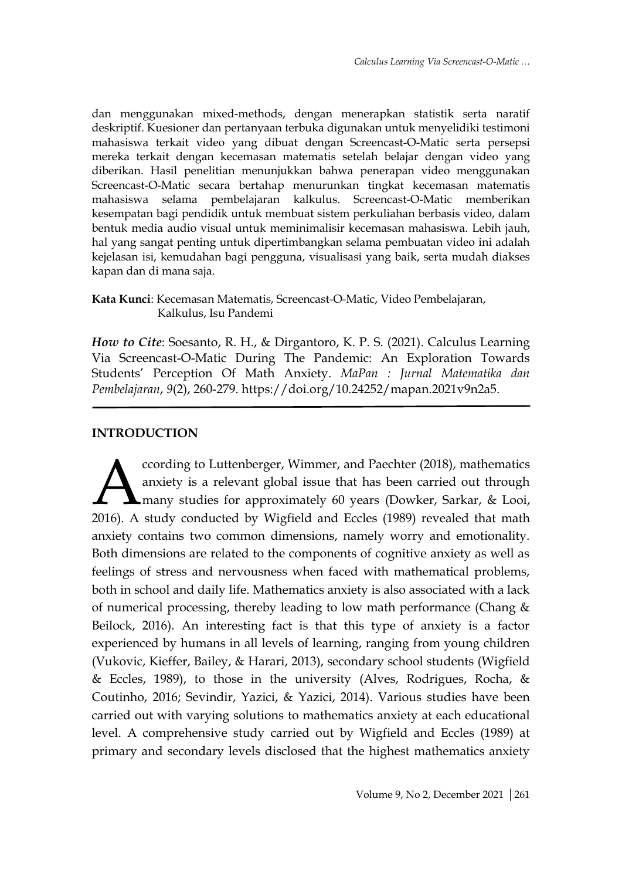dan menggunakan mixed-methods, dengan menerapkan statistik serta naratif deskriptif. Kuesioner dan pertanyaan terbuka digunakan untuk menyelidiki testimoni mahasiswa terkait video yang dibuat dengan Screencast-O-Matic serta persepsi mereka terkait dengan kecemasan matematis setelah belajar dengan video yang diberikan. Hasil penelitian menunjukkan bahwa penerapan video menggunakan Screencast-O-Matic secara bertahap menurunkan tingkat kecemasan matematis mahasiswa selama pembelajaran kalkulus. Screencast-O-Matic memberikan kesempatan bagi pendidik untuk membuat sistem perkuliahan berbasis video, dalam bentuk media audio visual untuk meminimalisir kecemasan mahasiswa. Lebih jauh, hal yang sangat penting untuk dipertimbangkan selama pembuatan video ini adalah kejelasan isi, kemudahan bagi pengguna, visualisasi yang baik, serta mudah diakses kapan dan di mana saja.

## **Kata Kunci**: Kecemasan Matematis, Screencast-O-Matic, Video Pembelajaran, Kalkulus, Isu Pandemi

*How to Cite*: Soesanto, R. H., & Dirgantoro, K. P. S. (2021). Calculus Learning Via Screencast-O-Matic During The Pandemic: An Exploration Towards Students' Perception Of Math Anxiety. *MaPan : Jurnal Matematika dan Pembelajaran*, *9*(2), 260-279. https://doi.org/10.24252/mapan.2021v9n2a5.

# **INTRODUCTION**

ccording to Luttenberger, Wimmer, and Paechter (2018), mathematics anxiety is a relevant global issue that has been carried out through **L** many studies for approximately 60 years (Dowker, Sarkar, & Looi, cording to Luttenberger, Wimmer, and Paechter (2018), mathematics<br>anxiety is a relevant global issue that has been carried out through<br>many studies for approximately 60 years (Dowker, Sarkar, & Looi,<br>2016). A study conduct anxiety contains two common dimensions, namely worry and emotionality. Both dimensions are related to the components of cognitive anxiety as well as feelings of stress and nervousness when faced with mathematical problems, both in school and daily life. Mathematics anxiety is also associated with a lack of numerical processing, thereby leading to low math performance (Chang & Beilock, 2016). An interesting fact is that this type of anxiety is a factor experienced by humans in all levels of learning, ranging from young children (Vukovic, Kieffer, Bailey, & Harari, 2013), secondary school students (Wigfield & Eccles, 1989), to those in the university (Alves, Rodrigues, Rocha, & Coutinho, 2016; Sevindir, Yazici, & Yazici, 2014). Various studies have been carried out with varying solutions to mathematics anxiety at each educational level. A comprehensive study carried out by Wigfield and Eccles (1989) at primary and secondary levels disclosed that the highest mathematics anxiety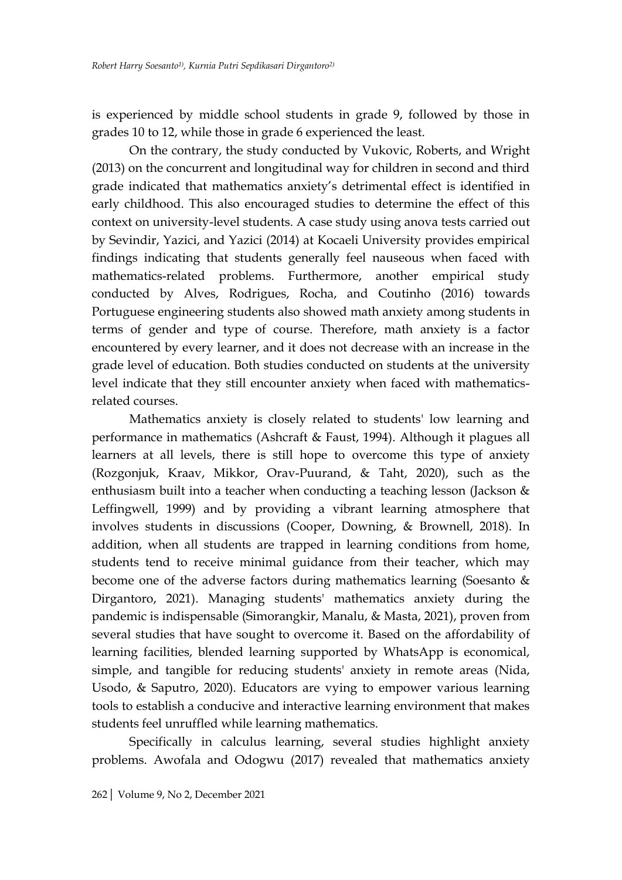is experienced by middle school students in grade 9, followed by those in grades 10 to 12, while those in grade 6 experienced the least.

On the contrary, the study conducted by Vukovic, Roberts, and Wright (2013) on the concurrent and longitudinal way for children in second and third grade indicated that mathematics anxiety's detrimental effect is identified in early childhood. This also encouraged studies to determine the effect of this context on university-level students. A case study using anova tests carried out by Sevindir, Yazici, and Yazici (2014) at Kocaeli University provides empirical findings indicating that students generally feel nauseous when faced with mathematics-related problems. Furthermore, another empirical study conducted by Alves, Rodrigues, Rocha, and Coutinho (2016) towards Portuguese engineering students also showed math anxiety among students in terms of gender and type of course. Therefore, math anxiety is a factor encountered by every learner, and it does not decrease with an increase in the grade level of education. Both studies conducted on students at the university level indicate that they still encounter anxiety when faced with mathematicsrelated courses.

Mathematics anxiety is closely related to students' low learning and performance in mathematics (Ashcraft & Faust, 1994). Although it plagues all learners at all levels, there is still hope to overcome this type of anxiety (Rozgonjuk, Kraav, Mikkor, Orav-Puurand, & Taht, 2020), such as the enthusiasm built into a teacher when conducting a teaching lesson (Jackson & Leffingwell, 1999) and by providing a vibrant learning atmosphere that involves students in discussions (Cooper, Downing, & Brownell, 2018). In addition, when all students are trapped in learning conditions from home, students tend to receive minimal guidance from their teacher, which may become one of the adverse factors during mathematics learning (Soesanto & Dirgantoro, 2021). Managing students' mathematics anxiety during the pandemic is indispensable (Simorangkir, Manalu, & Masta, 2021), proven from several studies that have sought to overcome it. Based on the affordability of learning facilities, blended learning supported by WhatsApp is economical, simple, and tangible for reducing students' anxiety in remote areas (Nida, Usodo, & Saputro, 2020). Educators are vying to empower various learning tools to establish a conducive and interactive learning environment that makes students feel unruffled while learning mathematics.

Specifically in calculus learning, several studies highlight anxiety problems. Awofala and Odogwu (2017) revealed that mathematics anxiety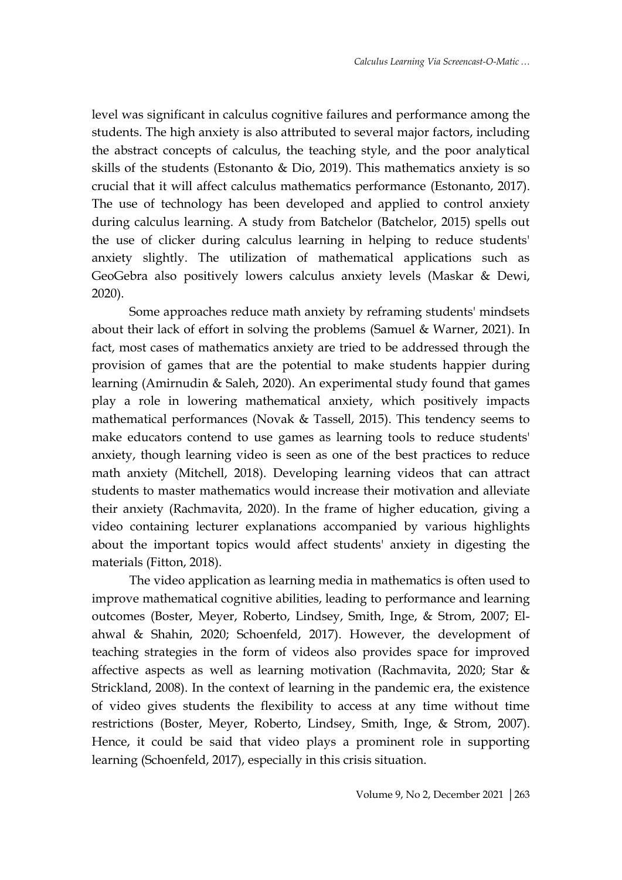level was significant in calculus cognitive failures and performance among the students. The high anxiety is also attributed to several major factors, including the abstract concepts of calculus, the teaching style, and the poor analytical skills of the students (Estonanto & Dio, 2019). This mathematics anxiety is so crucial that it will affect calculus mathematics performance (Estonanto, 2017). The use of technology has been developed and applied to control anxiety during calculus learning. A study from Batchelor (Batchelor, 2015) spells out the use of clicker during calculus learning in helping to reduce students' anxiety slightly. The utilization of mathematical applications such as GeoGebra also positively lowers calculus anxiety levels (Maskar & Dewi, 2020).

Some approaches reduce math anxiety by reframing students' mindsets about their lack of effort in solving the problems (Samuel & Warner, 2021). In fact, most cases of mathematics anxiety are tried to be addressed through the provision of games that are the potential to make students happier during learning (Amirnudin & Saleh, 2020). An experimental study found that games play a role in lowering mathematical anxiety, which positively impacts mathematical performances (Novak & Tassell, 2015). This tendency seems to make educators contend to use games as learning tools to reduce students' anxiety, though learning video is seen as one of the best practices to reduce math anxiety (Mitchell, 2018). Developing learning videos that can attract students to master mathematics would increase their motivation and alleviate their anxiety (Rachmavita, 2020). In the frame of higher education, giving a video containing lecturer explanations accompanied by various highlights about the important topics would affect students' anxiety in digesting the materials (Fitton, 2018).

The video application as learning media in mathematics is often used to improve mathematical cognitive abilities, leading to performance and learning outcomes (Boster, Meyer, Roberto, Lindsey, Smith, Inge, & Strom, 2007; Elahwal & Shahin, 2020; Schoenfeld, 2017). However, the development of teaching strategies in the form of videos also provides space for improved affective aspects as well as learning motivation (Rachmavita, 2020; Star & Strickland, 2008). In the context of learning in the pandemic era, the existence of video gives students the flexibility to access at any time without time restrictions (Boster, Meyer, Roberto, Lindsey, Smith, Inge, & Strom, 2007). Hence, it could be said that video plays a prominent role in supporting learning (Schoenfeld, 2017), especially in this crisis situation.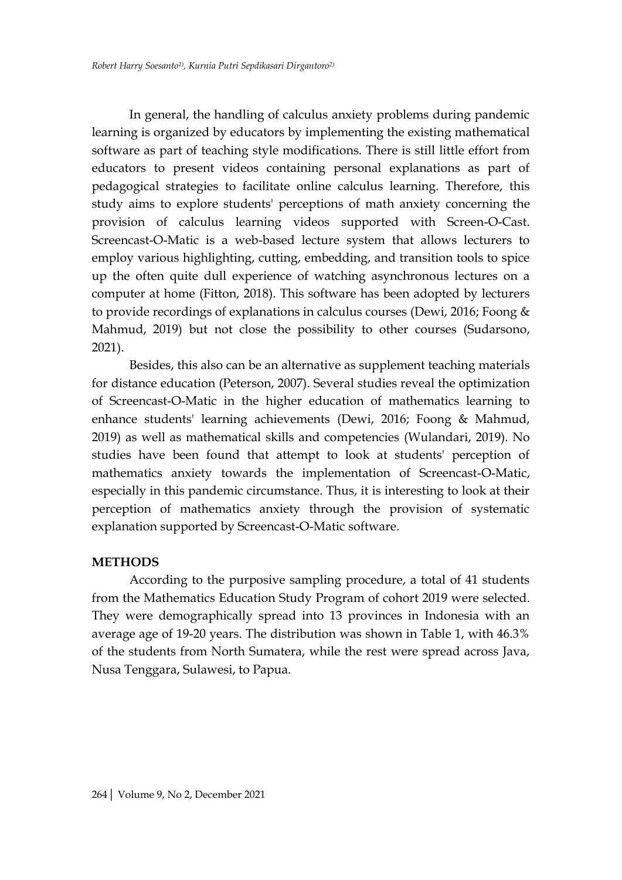In general, the handling of calculus anxiety problems during pandemic learning is organized by educators by implementing the existing mathematical software as part of teaching style modifications. There is still little effort from educators to present videos containing personal explanations as part of pedagogical strategies to facilitate online calculus learning. Therefore, this study aims to explore students' perceptions of math anxiety concerning the provision of calculus learning videos supported with Screen-O-Cast. Screencast-O-Matic is a web-based lecture system that allows lecturers to employ various highlighting, cutting, embedding, and transition tools to spice up the often quite dull experience of watching asynchronous lectures on a computer at home (Fitton, 2018). This software has been adopted by lecturers to provide recordings of explanations in calculus courses (Dewi, 2016; Foong & Mahmud, 2019) but not close the possibility to other courses (Sudarsono, 2021).

Besides, this also can be an alternative as supplement teaching materials for distance education (Peterson, 2007). Several studies reveal the optimization of Screencast-O-Matic in the higher education of mathematics learning to enhance students' learning achievements (Dewi, 2016; Foong & Mahmud, 2019) as well as mathematical skills and competencies (Wulandari, 2019). No studies have been found that attempt to look at students' perception of mathematics anxiety towards the implementation of Screencast-O-Matic, especially in this pandemic circumstance. Thus, it is interesting to look at their perception of mathematics anxiety through the provision of systematic explanation supported by Screencast-O-Matic software.

#### **METHODS**

According to the purposive sampling procedure, a total of 41 students from the Mathematics Education Study Program of cohort 2019 were selected. They were demographically spread into 13 provinces in Indonesia with an average age of 19-20 years. The distribution was shown in Table 1, with 46.3% of the students from North Sumatera, while the rest were spread across Java, Nusa Tenggara, Sulawesi, to Papua.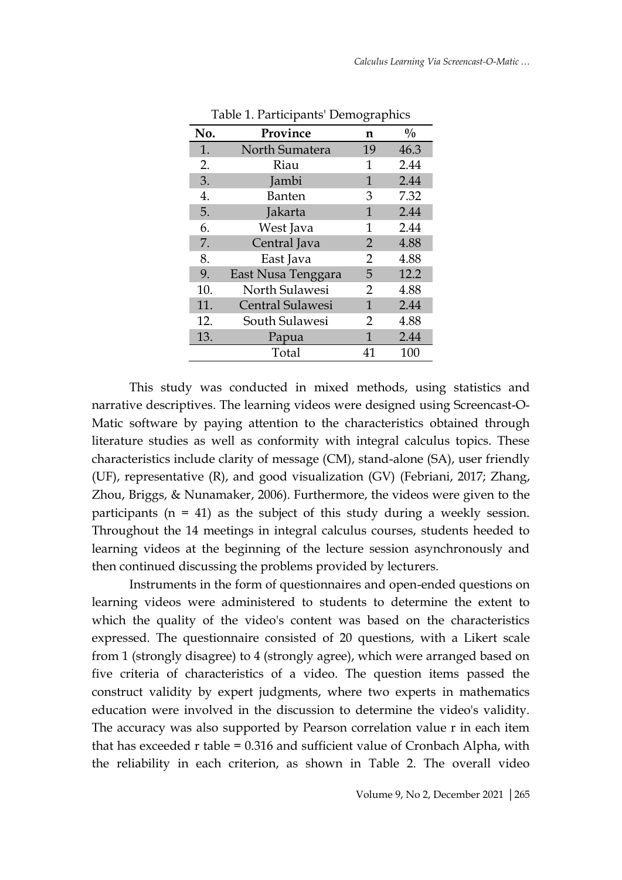| No. | Province                | n  | $\frac{0}{0}$ |
|-----|-------------------------|----|---------------|
| 1.  | North Sumatera          | 19 | 46.3          |
| 2.  | Riau                    | 1  | 2.44          |
| 3.  | Jambi                   | 1  | 2.44          |
| 4.  | <b>Banten</b>           | 3  | 7.32          |
| 5.  | Jakarta                 | 1  | 2.44          |
| 6.  | West Java               | 1  | 2.44          |
| 7.  | Central Java            | 2  | 4.88          |
| 8.  | East Java               | 2  | 4.88          |
| 9.  | East Nusa Tenggara      | 5  | 12.2          |
| 10. | North Sulawesi          | 2  | 4.88          |
| 11. | <b>Central Sulawesi</b> | 1  | 2.44          |
| 12. | South Sulawesi          | 2  | 4.88          |
| 13. | Papua                   | 1  | 2.44          |
|     | Total                   | 41 | 100           |

Table 1. Participants' Demographics

This study was conducted in mixed methods, using statistics and narrative descriptives. The learning videos were designed using Screencast-O-Matic software by paying attention to the characteristics obtained through literature studies as well as conformity with integral calculus topics. These characteristics include clarity of message (CM), stand-alone (SA), user friendly (UF), representative (R), and good visualization (GV) (Febriani, 2017; Zhang, Zhou, Briggs, & Nunamaker, 2006). Furthermore, the videos were given to the participants  $(n = 41)$  as the subject of this study during a weekly session. Throughout the 14 meetings in integral calculus courses, students heeded to learning videos at the beginning of the lecture session asynchronously and then continued discussing the problems provided by lecturers.

Instruments in the form of questionnaires and open-ended questions on learning videos were administered to students to determine the extent to which the quality of the video's content was based on the characteristics expressed. The questionnaire consisted of 20 questions, with a Likert scale from 1 (strongly disagree) to 4 (strongly agree), which were arranged based on five criteria of characteristics of a video. The question items passed the construct validity by expert judgments, where two experts in mathematics education were involved in the discussion to determine the video's validity. The accuracy was also supported by Pearson correlation value r in each item that has exceeded r table = 0.316 and sufficient value of Cronbach Alpha, with the reliability in each criterion, as shown in Table 2. The overall video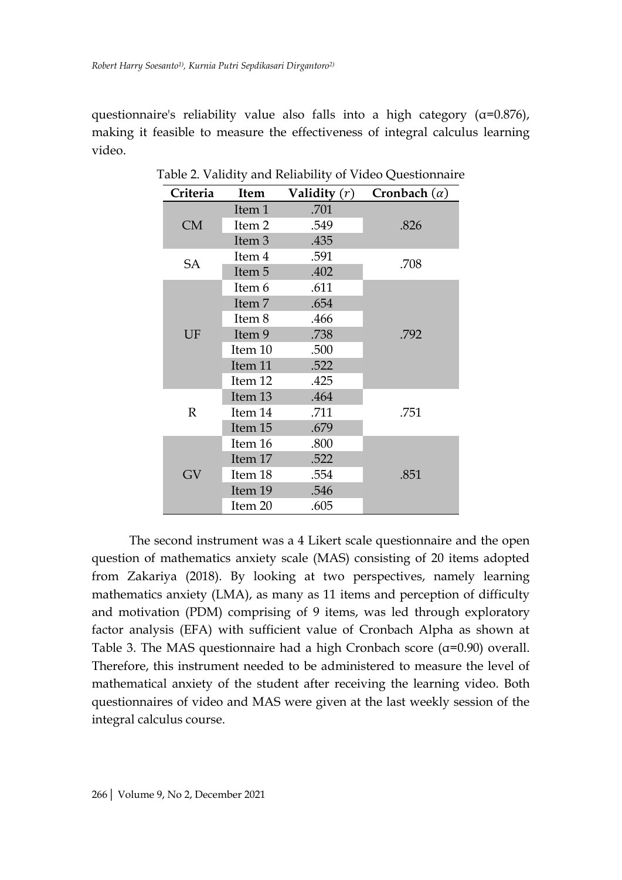questionnaire's reliability value also falls into a high category  $(\alpha=0.876)$ , making it feasible to measure the effectiveness of integral calculus learning video.

| Criteria     | Item              | Validity $(r)$ | Cronbach $(\alpha)$ |
|--------------|-------------------|----------------|---------------------|
|              | Item 1            | .701           |                     |
| <b>CM</b>    | Item 2            | .549           | .826                |
|              | Item <sub>3</sub> | .435           |                     |
| <b>SA</b>    | Item 4            | .591           | .708                |
|              | Item 5            | .402           |                     |
|              | Item 6            | .611           |                     |
|              | Item 7            | .654           |                     |
|              | Item 8            | .466           |                     |
| UF           | Item 9            | .738           | .792                |
|              | Item 10           | .500           |                     |
|              | Item 11           | .522           |                     |
|              | Item 12           | .425           |                     |
|              | Item 13           | .464           |                     |
| $\mathbb{R}$ | Item 14           | .711           | .751                |
|              | Item 15           | .679           |                     |
|              | Item 16           | .800           |                     |
|              | Item 17           | .522           |                     |
| GV           | Item 18           | .554           | .851                |
|              | Item 19           | .546           |                     |
|              | Item 20           | .605           |                     |

Table 2. Validity and Reliability of Video Questionnaire

The second instrument was a 4 Likert scale questionnaire and the open question of mathematics anxiety scale (MAS) consisting of 20 items adopted from Zakariya (2018). By looking at two perspectives, namely learning mathematics anxiety (LMA), as many as 11 items and perception of difficulty and motivation (PDM) comprising of 9 items, was led through exploratory factor analysis (EFA) with sufficient value of Cronbach Alpha as shown at Table 3. The MAS questionnaire had a high Cronbach score  $(\alpha=0.90)$  overall. Therefore, this instrument needed to be administered to measure the level of mathematical anxiety of the student after receiving the learning video. Both questionnaires of video and MAS were given at the last weekly session of the integral calculus course.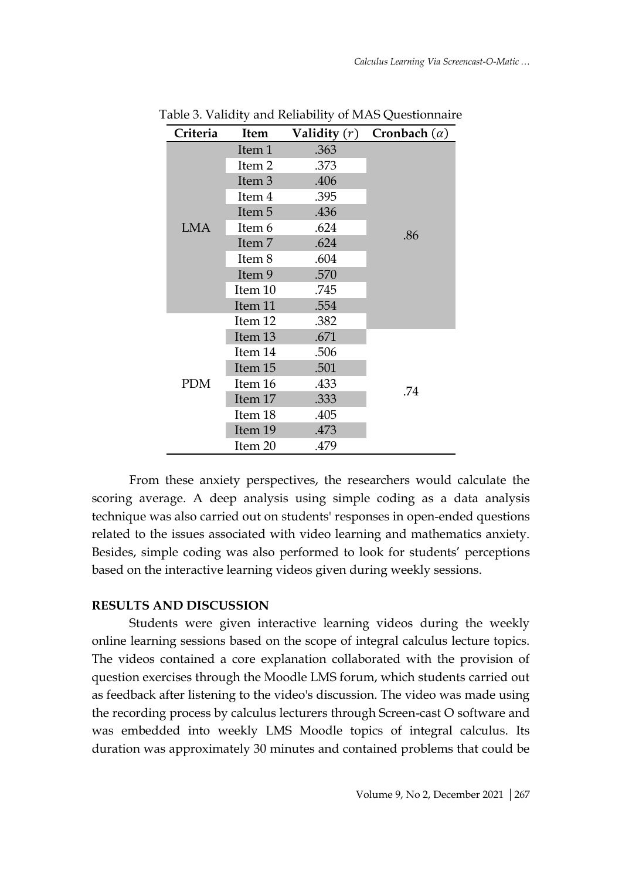| Criteria   | Item              | Validity $(r)$ | Cronbach $(\alpha)$ |
|------------|-------------------|----------------|---------------------|
|            | Item 1            | .363           |                     |
|            | Item <sub>2</sub> | .373           |                     |
|            | Item 3            | .406           |                     |
|            | Item 4            | .395           |                     |
|            | Item 5            | .436           |                     |
| <b>LMA</b> | Item 6            | .624           | .86                 |
|            | Item 7            | .624           |                     |
|            | Item 8            | .604           |                     |
|            | Item 9            | .570           |                     |
|            | Item 10           | .745           |                     |
|            | Item 11           | .554           |                     |
|            | Item 12           | .382           |                     |
|            | Item 13           | .671           |                     |
|            | Item 14           | .506           |                     |
|            | Item 15           | .501           |                     |
| <b>PDM</b> | Item 16           | .433           | .74                 |
|            | Item 17           | .333           |                     |
|            | Item 18           | .405           |                     |
|            | Item 19           | .473           |                     |
|            | Item 20           | .479           |                     |

Table 3. Validity and Reliability of MAS Questionnaire

From these anxiety perspectives, the researchers would calculate the scoring average. A deep analysis using simple coding as a data analysis technique was also carried out on students' responses in open-ended questions related to the issues associated with video learning and mathematics anxiety. Besides, simple coding was also performed to look for students' perceptions based on the interactive learning videos given during weekly sessions.

# **RESULTS AND DISCUSSION**

Students were given interactive learning videos during the weekly online learning sessions based on the scope of integral calculus lecture topics. The videos contained a core explanation collaborated with the provision of question exercises through the Moodle LMS forum, which students carried out as feedback after listening to the video's discussion. The video was made using the recording process by calculus lecturers through Screen-cast O software and was embedded into weekly LMS Moodle topics of integral calculus. Its duration was approximately 30 minutes and contained problems that could be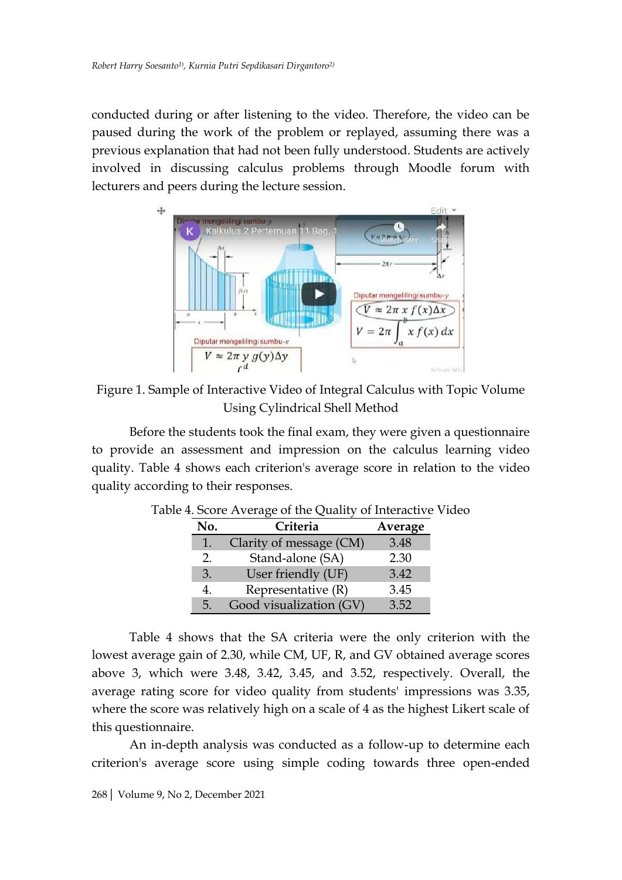conducted during or after listening to the video. Therefore, the video can be paused during the work of the problem or replayed, assuming there was a previous explanation that had not been fully understood. Students are actively involved in discussing calculus problems through Moodle forum with lecturers and peers during the lecture session.



Figure 1. Sample of Interactive Video of Integral Calculus with Topic Volume Using Cylindrical Shell Method

Before the students took the final exam, they were given a questionnaire to provide an assessment and impression on the calculus learning video quality. Table 4 shows each criterion's average score in relation to the video quality according to their responses.

| No. | Criteria                | Average |
|-----|-------------------------|---------|
| 1.  | Clarity of message (CM) | 3.48    |
| 2.  | Stand-alone (SA)        | 2.30    |
| 3.  | User friendly (UF)      | 3.42    |
| 4.  | Representative $(R)$    | 3.45    |
| 5.  | Good visualization (GV) | 3.52    |

Table 4. Score Average of the Quality of Interactive Video

Table 4 shows that the SA criteria were the only criterion with the lowest average gain of 2.30, while CM, UF, R, and GV obtained average scores above 3, which were 3.48, 3.42, 3.45, and 3.52, respectively. Overall, the average rating score for video quality from students' impressions was 3.35, where the score was relatively high on a scale of 4 as the highest Likert scale of this questionnaire.

An in-depth analysis was conducted as a follow-up to determine each criterion's average score using simple coding towards three open-ended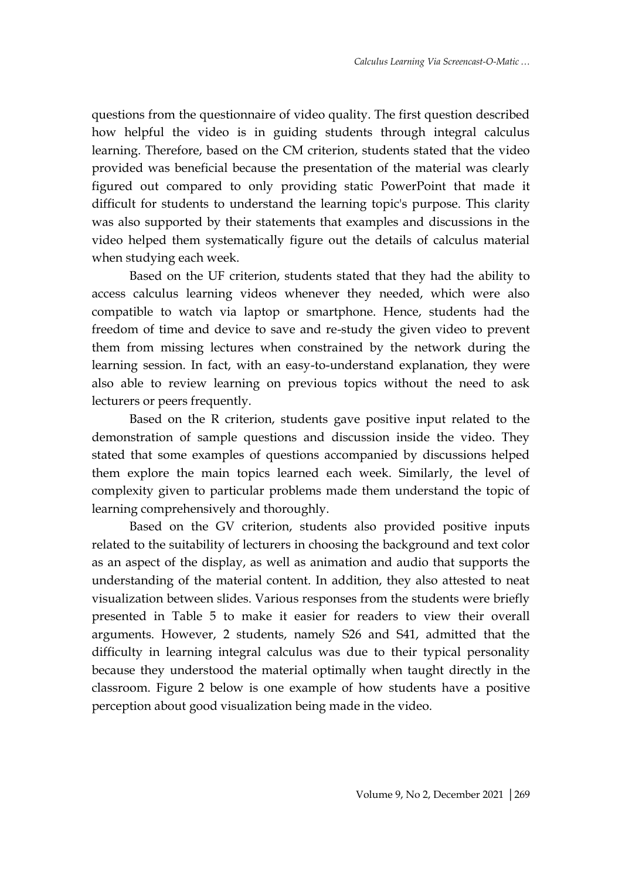questions from the questionnaire of video quality. The first question described how helpful the video is in guiding students through integral calculus learning. Therefore, based on the CM criterion, students stated that the video provided was beneficial because the presentation of the material was clearly figured out compared to only providing static PowerPoint that made it difficult for students to understand the learning topic's purpose. This clarity was also supported by their statements that examples and discussions in the video helped them systematically figure out the details of calculus material when studying each week.

Based on the UF criterion, students stated that they had the ability to access calculus learning videos whenever they needed, which were also compatible to watch via laptop or smartphone. Hence, students had the freedom of time and device to save and re-study the given video to prevent them from missing lectures when constrained by the network during the learning session. In fact, with an easy-to-understand explanation, they were also able to review learning on previous topics without the need to ask lecturers or peers frequently.

Based on the R criterion, students gave positive input related to the demonstration of sample questions and discussion inside the video. They stated that some examples of questions accompanied by discussions helped them explore the main topics learned each week. Similarly, the level of complexity given to particular problems made them understand the topic of learning comprehensively and thoroughly.

Based on the GV criterion, students also provided positive inputs related to the suitability of lecturers in choosing the background and text color as an aspect of the display, as well as animation and audio that supports the understanding of the material content. In addition, they also attested to neat visualization between slides. Various responses from the students were briefly presented in Table 5 to make it easier for readers to view their overall arguments. However, 2 students, namely S26 and S41, admitted that the difficulty in learning integral calculus was due to their typical personality because they understood the material optimally when taught directly in the classroom. Figure 2 below is one example of how students have a positive perception about good visualization being made in the video.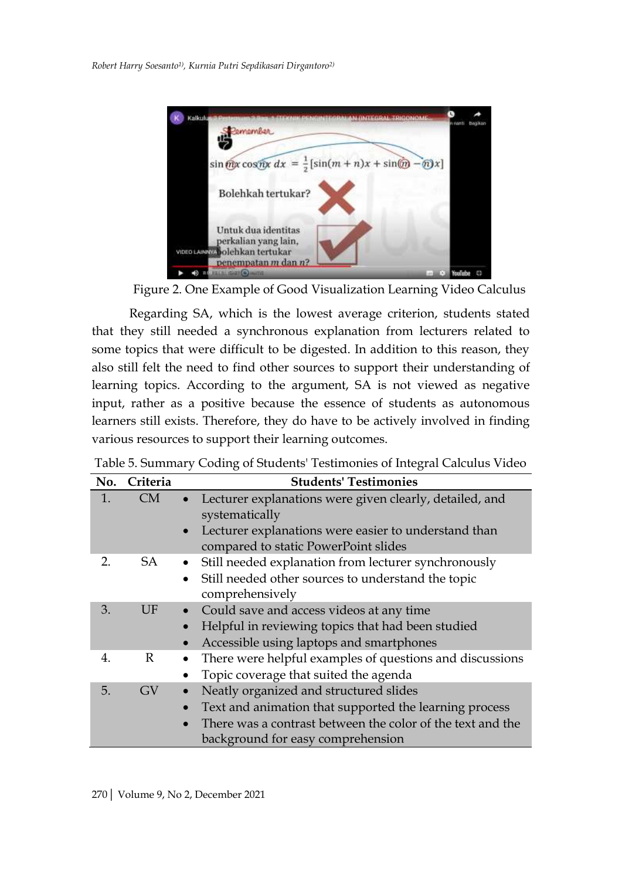

Figure 2. One Example of Good Visualization Learning Video Calculus

Regarding SA, which is the lowest average criterion, students stated that they still needed a synchronous explanation from lecturers related to some topics that were difficult to be digested. In addition to this reason, they also still felt the need to find other sources to support their understanding of learning topics. According to the argument, SA is not viewed as negative input, rather as a positive because the essence of students as autonomous learners still exists. Therefore, they do have to be actively involved in finding various resources to support their learning outcomes.

| No. | Criteria     | <b>Students' Testimonies</b>                                                                                                                                                                                                  |
|-----|--------------|-------------------------------------------------------------------------------------------------------------------------------------------------------------------------------------------------------------------------------|
| 1.  | <b>CM</b>    | Lecturer explanations were given clearly, detailed, and<br>$\bullet$<br>systematically<br>Lecturer explanations were easier to understand than<br>$\bullet$<br>compared to static PowerPoint slides                           |
| 2.  | SA           | Still needed explanation from lecturer synchronously<br>Still needed other sources to understand the topic<br>$\bullet$<br>comprehensively                                                                                    |
| 3.  | UF           | Could save and access videos at any time<br>Helpful in reviewing topics that had been studied<br>$\bullet$<br>Accessible using laptops and smartphones<br>$\bullet$                                                           |
| 4.  | $\mathbb{R}$ | There were helpful examples of questions and discussions<br>$\bullet$<br>Topic coverage that suited the agenda                                                                                                                |
| 5.  | GV           | Neatly organized and structured slides<br>Text and animation that supported the learning process<br>$\bullet$<br>There was a contrast between the color of the text and the<br>$\bullet$<br>background for easy comprehension |

Table 5. Summary Coding of Students' Testimonies of Integral Calculus Video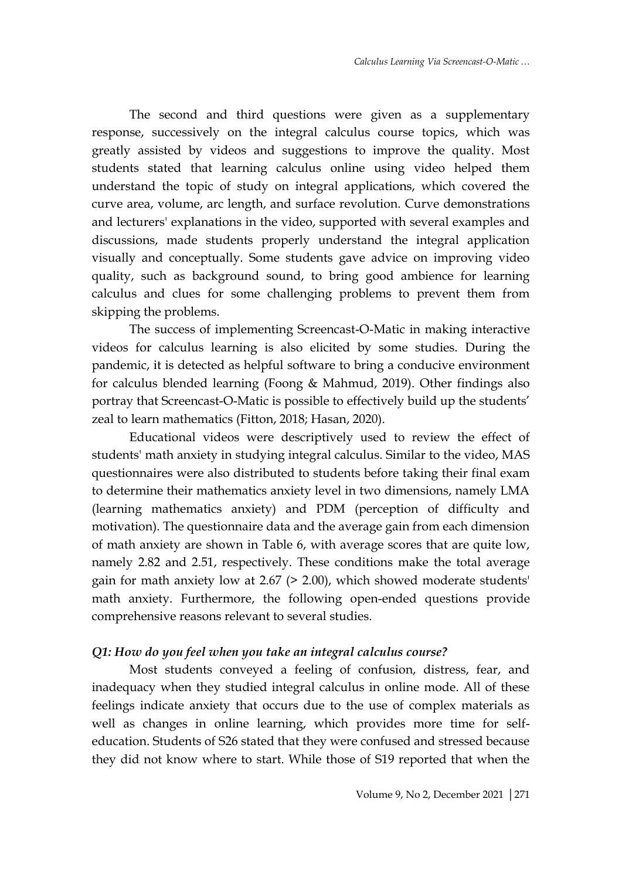The second and third questions were given as a supplementary response, successively on the integral calculus course topics, which was greatly assisted by videos and suggestions to improve the quality. Most students stated that learning calculus online using video helped them understand the topic of study on integral applications, which covered the curve area, volume, arc length, and surface revolution. Curve demonstrations and lecturers' explanations in the video, supported with several examples and discussions, made students properly understand the integral application visually and conceptually. Some students gave advice on improving video quality, such as background sound, to bring good ambience for learning calculus and clues for some challenging problems to prevent them from skipping the problems.

The success of implementing Screencast-O-Matic in making interactive videos for calculus learning is also elicited by some studies. During the pandemic, it is detected as helpful software to bring a conducive environment for calculus blended learning (Foong & Mahmud, 2019). Other findings also portray that Screencast-O-Matic is possible to effectively build up the students' zeal to learn mathematics (Fitton, 2018; Hasan, 2020).

Educational videos were descriptively used to review the effect of students' math anxiety in studying integral calculus. Similar to the video, MAS questionnaires were also distributed to students before taking their final exam to determine their mathematics anxiety level in two dimensions, namely LMA (learning mathematics anxiety) and PDM (perception of difficulty and motivation). The questionnaire data and the average gain from each dimension of math anxiety are shown in Table 6, with average scores that are quite low, namely 2.82 and 2.51, respectively. These conditions make the total average gain for math anxiety low at 2.67 (> 2.00), which showed moderate students' math anxiety. Furthermore, the following open-ended questions provide comprehensive reasons relevant to several studies.

#### *Q1: How do you feel when you take an integral calculus course?*

Most students conveyed a feeling of confusion, distress, fear, and inadequacy when they studied integral calculus in online mode. All of these feelings indicate anxiety that occurs due to the use of complex materials as well as changes in online learning, which provides more time for selfeducation. Students of S26 stated that they were confused and stressed because they did not know where to start. While those of S19 reported that when the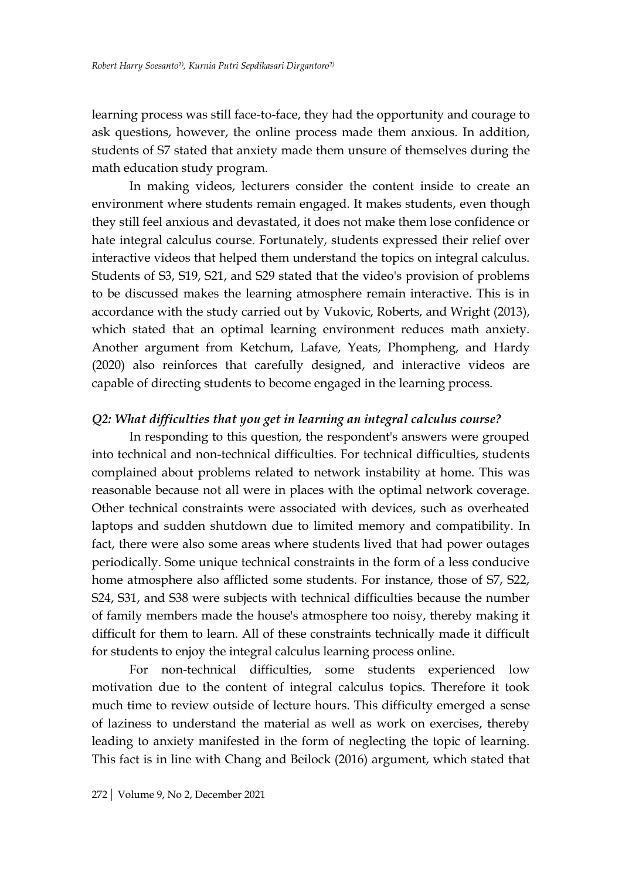learning process was still face-to-face, they had the opportunity and courage to ask questions, however, the online process made them anxious. In addition, students of S7 stated that anxiety made them unsure of themselves during the math education study program.

In making videos, lecturers consider the content inside to create an environment where students remain engaged. It makes students, even though they still feel anxious and devastated, it does not make them lose confidence or hate integral calculus course. Fortunately, students expressed their relief over interactive videos that helped them understand the topics on integral calculus. Students of S3, S19, S21, and S29 stated that the video's provision of problems to be discussed makes the learning atmosphere remain interactive. This is in accordance with the study carried out by Vukovic, Roberts, and Wright (2013), which stated that an optimal learning environment reduces math anxiety. Another argument from Ketchum, Lafave, Yeats, Phompheng, and Hardy (2020) also reinforces that carefully designed, and interactive videos are capable of directing students to become engaged in the learning process.

## *Q2: What difficulties that you get in learning an integral calculus course?*

In responding to this question, the respondent's answers were grouped into technical and non-technical difficulties. For technical difficulties, students complained about problems related to network instability at home. This was reasonable because not all were in places with the optimal network coverage. Other technical constraints were associated with devices, such as overheated laptops and sudden shutdown due to limited memory and compatibility. In fact, there were also some areas where students lived that had power outages periodically. Some unique technical constraints in the form of a less conducive home atmosphere also afflicted some students. For instance, those of S7, S22, S24, S31, and S38 were subjects with technical difficulties because the number of family members made the house's atmosphere too noisy, thereby making it difficult for them to learn. All of these constraints technically made it difficult for students to enjoy the integral calculus learning process online.

For non-technical difficulties, some students experienced low motivation due to the content of integral calculus topics. Therefore it took much time to review outside of lecture hours. This difficulty emerged a sense of laziness to understand the material as well as work on exercises, thereby leading to anxiety manifested in the form of neglecting the topic of learning. This fact is in line with Chang and Beilock (2016) argument, which stated that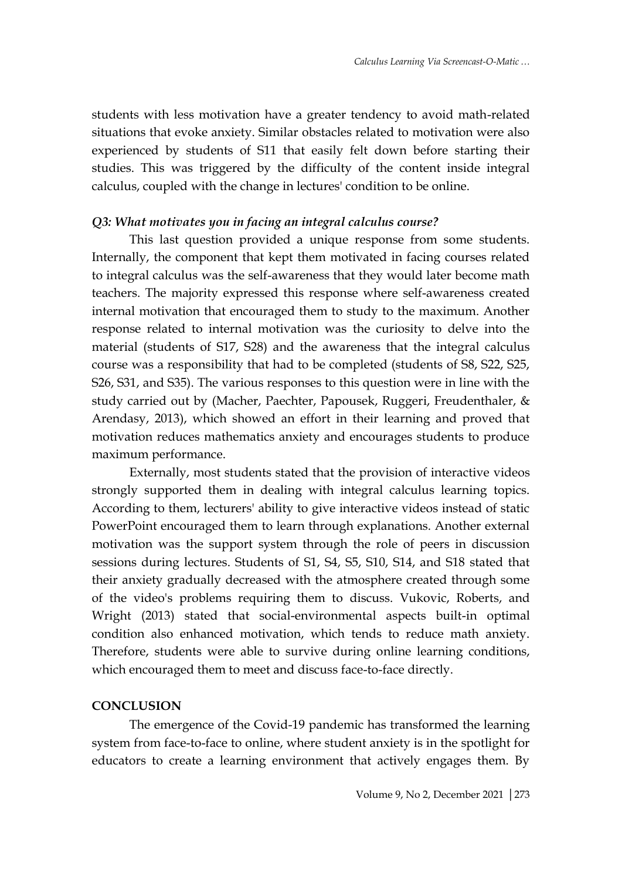students with less motivation have a greater tendency to avoid math-related situations that evoke anxiety. Similar obstacles related to motivation were also experienced by students of S11 that easily felt down before starting their studies. This was triggered by the difficulty of the content inside integral calculus, coupled with the change in lectures' condition to be online.

## *Q3: What motivates you in facing an integral calculus course?*

This last question provided a unique response from some students. Internally, the component that kept them motivated in facing courses related to integral calculus was the self-awareness that they would later become math teachers. The majority expressed this response where self-awareness created internal motivation that encouraged them to study to the maximum. Another response related to internal motivation was the curiosity to delve into the material (students of S17, S28) and the awareness that the integral calculus course was a responsibility that had to be completed (students of S8, S22, S25, S26, S31, and S35). The various responses to this question were in line with the study carried out by (Macher, Paechter, Papousek, Ruggeri, Freudenthaler, & Arendasy, 2013), which showed an effort in their learning and proved that motivation reduces mathematics anxiety and encourages students to produce maximum performance.

Externally, most students stated that the provision of interactive videos strongly supported them in dealing with integral calculus learning topics. According to them, lecturers' ability to give interactive videos instead of static PowerPoint encouraged them to learn through explanations. Another external motivation was the support system through the role of peers in discussion sessions during lectures. Students of S1, S4, S5, S10, S14, and S18 stated that their anxiety gradually decreased with the atmosphere created through some of the video's problems requiring them to discuss. Vukovic, Roberts, and Wright (2013) stated that social-environmental aspects built-in optimal condition also enhanced motivation, which tends to reduce math anxiety. Therefore, students were able to survive during online learning conditions, which encouraged them to meet and discuss face-to-face directly.

#### **CONCLUSION**

The emergence of the Covid-19 pandemic has transformed the learning system from face-to-face to online, where student anxiety is in the spotlight for educators to create a learning environment that actively engages them. By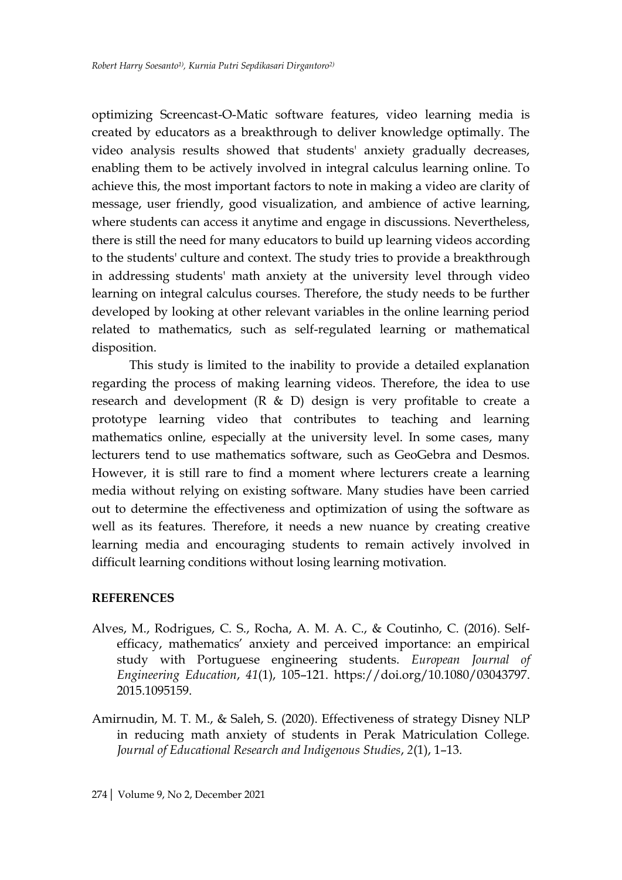optimizing Screencast-O-Matic software features, video learning media is created by educators as a breakthrough to deliver knowledge optimally. The video analysis results showed that students' anxiety gradually decreases, enabling them to be actively involved in integral calculus learning online. To achieve this, the most important factors to note in making a video are clarity of message, user friendly, good visualization, and ambience of active learning, where students can access it anytime and engage in discussions. Nevertheless, there is still the need for many educators to build up learning videos according to the students' culture and context. The study tries to provide a breakthrough in addressing students' math anxiety at the university level through video learning on integral calculus courses. Therefore, the study needs to be further developed by looking at other relevant variables in the online learning period related to mathematics, such as self-regulated learning or mathematical disposition.

This study is limited to the inability to provide a detailed explanation regarding the process of making learning videos. Therefore, the idea to use research and development (R & D) design is very profitable to create a prototype learning video that contributes to teaching and learning mathematics online, especially at the university level. In some cases, many lecturers tend to use mathematics software, such as GeoGebra and Desmos. However, it is still rare to find a moment where lecturers create a learning media without relying on existing software. Many studies have been carried out to determine the effectiveness and optimization of using the software as well as its features. Therefore, it needs a new nuance by creating creative learning media and encouraging students to remain actively involved in difficult learning conditions without losing learning motivation.

## **REFERENCES**

- Alves, M., Rodrigues, C. S., Rocha, A. M. A. C., & Coutinho, C. (2016). Selfefficacy, mathematics' anxiety and perceived importance: an empirical study with Portuguese engineering students. *European Journal of Engineering Education*, *41*(1), 105–121. https://doi.org/10.1080/03043797. 2015.1095159.
- Amirnudin, M. T. M., & Saleh, S. (2020). Effectiveness of strategy Disney NLP in reducing math anxiety of students in Perak Matriculation College. *Journal of Educational Research and Indigenous Studies*, *2*(1), 1–13.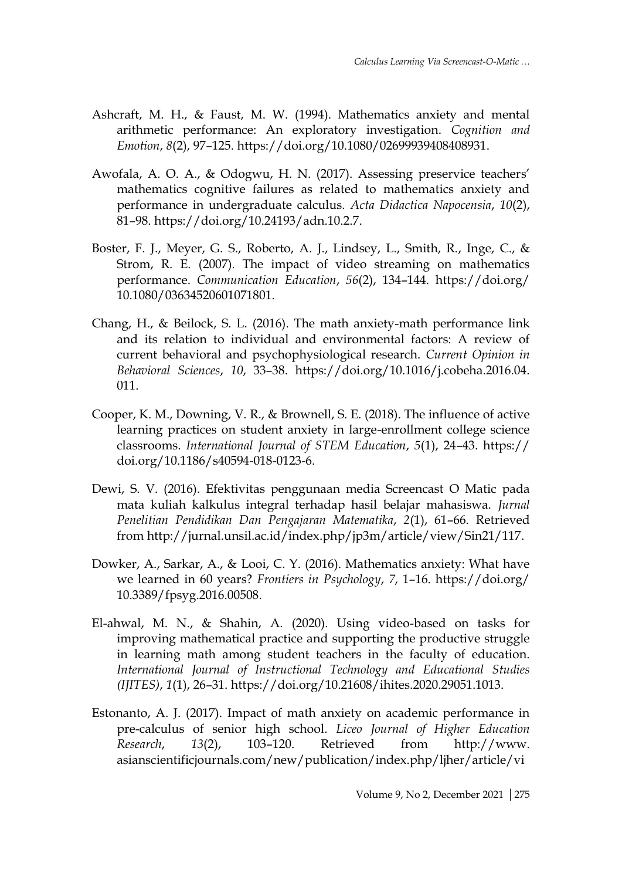- Ashcraft, M. H., & Faust, M. W. (1994). Mathematics anxiety and mental arithmetic performance: An exploratory investigation. *Cognition and Emotion*, *8*(2), 97–125. https://doi.org/10.1080/02699939408408931.
- Awofala, A. O. A., & Odogwu, H. N. (2017). Assessing preservice teachers' mathematics cognitive failures as related to mathematics anxiety and performance in undergraduate calculus. *Acta Didactica Napocensia*, *10*(2), 81–98. https://doi.org/10.24193/adn.10.2.7.
- Boster, F. J., Meyer, G. S., Roberto, A. J., Lindsey, L., Smith, R., Inge, C., & Strom, R. E. (2007). The impact of video streaming on mathematics performance. *Communication Education*, *56*(2), 134–144. https://doi.org/ 10.1080/03634520601071801.
- Chang, H., & Beilock, S. L. (2016). The math anxiety-math performance link and its relation to individual and environmental factors: A review of current behavioral and psychophysiological research. *Current Opinion in Behavioral Sciences*, *10*, 33–38. https://doi.org/10.1016/j.cobeha.2016.04. 011.
- Cooper, K. M., Downing, V. R., & Brownell, S. E. (2018). The influence of active learning practices on student anxiety in large-enrollment college science classrooms. *International Journal of STEM Education*, *5*(1), 24–43. https:// doi.org/10.1186/s40594-018-0123-6.
- Dewi, S. V. (2016). Efektivitas penggunaan media Screencast O Matic pada mata kuliah kalkulus integral terhadap hasil belajar mahasiswa. *Jurnal Penelitian Pendidikan Dan Pengajaran Matematika*, *2*(1), 61–66. Retrieved from http://jurnal.unsil.ac.id/index.php/jp3m/article/view/Sin21/117.
- Dowker, A., Sarkar, A., & Looi, C. Y. (2016). Mathematics anxiety: What have we learned in 60 years? *Frontiers in Psychology*, *7*, 1–16. https://doi.org/ 10.3389/fpsyg.2016.00508.
- El-ahwal, M. N., & Shahin, A. (2020). Using video-based on tasks for improving mathematical practice and supporting the productive struggle in learning math among student teachers in the faculty of education. *International Journal of Instructional Technology and Educational Studies (IJITES)*, *1*(1), 26–31. https://doi.org/10.21608/ihites.2020.29051.1013.
- Estonanto, A. J. (2017). Impact of math anxiety on academic performance in pre-calculus of senior high school. *Liceo Journal of Higher Education Research*, *13*(2), 103–120. Retrieved from http://www. asianscientificjournals.com/new/publication/index.php/ljher/article/vi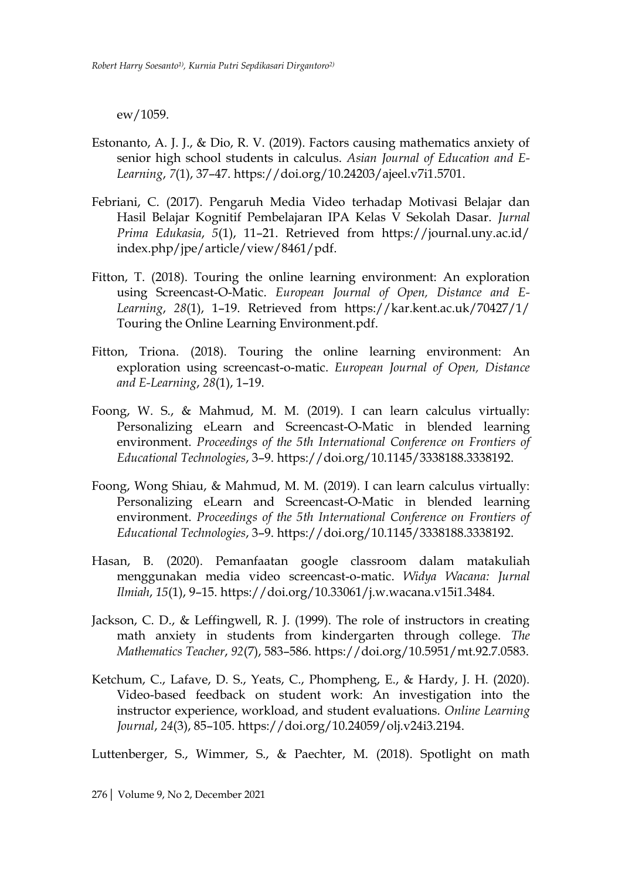ew/1059.

- Estonanto, A. J. J., & Dio, R. V. (2019). Factors causing mathematics anxiety of senior high school students in calculus. *Asian Journal of Education and E-Learning*, *7*(1), 37–47. https://doi.org/10.24203/ajeel.v7i1.5701.
- Febriani, C. (2017). Pengaruh Media Video terhadap Motivasi Belajar dan Hasil Belajar Kognitif Pembelajaran IPA Kelas V Sekolah Dasar. *Jurnal Prima Edukasia*, *5*(1), 11–21. Retrieved from https://journal.uny.ac.id/ index.php/jpe/article/view/8461/pdf.
- Fitton, T. (2018). Touring the online learning environment: An exploration using Screencast-O-Matic. *European Journal of Open, Distance and E-Learning*, *28*(1), 1–19. Retrieved from https://kar.kent.ac.uk/70427/1/ Touring the Online Learning Environment.pdf.
- Fitton, Triona. (2018). Touring the online learning environment: An exploration using screencast-o-matic. *European Journal of Open, Distance and E-Learning*, *28*(1), 1–19.
- Foong, W. S., & Mahmud, M. M. (2019). I can learn calculus virtually: Personalizing eLearn and Screencast-O-Matic in blended learning environment. *Proceedings of the 5th International Conference on Frontiers of Educational Technologies*, 3–9. https://doi.org/10.1145/3338188.3338192.
- Foong, Wong Shiau, & Mahmud, M. M. (2019). I can learn calculus virtually: Personalizing eLearn and Screencast-O-Matic in blended learning environment. *Proceedings of the 5th International Conference on Frontiers of Educational Technologies*, 3–9. https://doi.org/10.1145/3338188.3338192.
- Hasan, B. (2020). Pemanfaatan google classroom dalam matakuliah menggunakan media video screencast-o-matic. *Widya Wacana: Jurnal Ilmiah*, *15*(1), 9–15. https://doi.org/10.33061/j.w.wacana.v15i1.3484.
- Jackson, C. D., & Leffingwell, R. J. (1999). The role of instructors in creating math anxiety in students from kindergarten through college. *The Mathematics Teacher*, *92*(7), 583–586. https://doi.org/10.5951/mt.92.7.0583.
- Ketchum, C., Lafave, D. S., Yeats, C., Phompheng, E., & Hardy, J. H. (2020). Video-based feedback on student work: An investigation into the instructor experience, workload, and student evaluations. *Online Learning Journal*, *24*(3), 85–105. https://doi.org/10.24059/olj.v24i3.2194.

Luttenberger, S., Wimmer, S., & Paechter, M. (2018). Spotlight on math

276| Volume 9, No 2, December 2021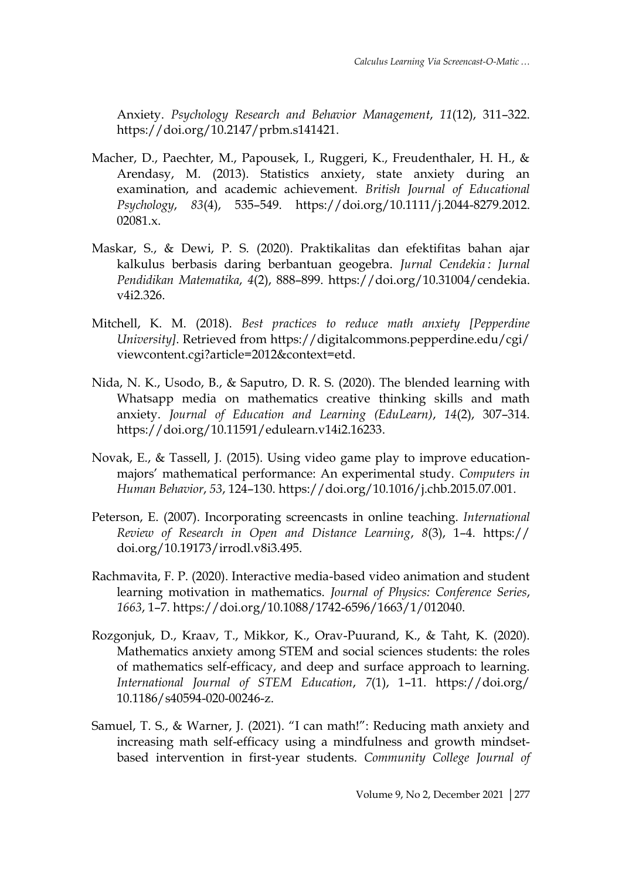Anxiety. *Psychology Research and Behavior Management*, *11*(12), 311–322. https://doi.org/10.2147/prbm.s141421.

- Macher, D., Paechter, M., Papousek, I., Ruggeri, K., Freudenthaler, H. H., & Arendasy, M. (2013). Statistics anxiety, state anxiety during an examination, and academic achievement. *British Journal of Educational Psychology*, *83*(4), 535–549. https://doi.org/10.1111/j.2044-8279.2012. 02081.x.
- Maskar, S., & Dewi, P. S. (2020). Praktikalitas dan efektifitas bahan ajar kalkulus berbasis daring berbantuan geogebra. *Jurnal Cendekia : Jurnal Pendidikan Matematika*, *4*(2), 888–899. https://doi.org/10.31004/cendekia. v4i2.326.
- Mitchell, K. M. (2018). *Best practices to reduce math anxiety [Pepperdine University]*. Retrieved from https://digitalcommons.pepperdine.edu/cgi/ viewcontent.cgi?article=2012&context=etd.
- Nida, N. K., Usodo, B., & Saputro, D. R. S. (2020). The blended learning with Whatsapp media on mathematics creative thinking skills and math anxiety. *Journal of Education and Learning (EduLearn)*, *14*(2), 307–314. https://doi.org/10.11591/edulearn.v14i2.16233.
- Novak, E., & Tassell, J. (2015). Using video game play to improve educationmajors' mathematical performance: An experimental study. *Computers in Human Behavior*, *53*, 124–130. https://doi.org/10.1016/j.chb.2015.07.001.
- Peterson, E. (2007). Incorporating screencasts in online teaching. *International Review of Research in Open and Distance Learning*, *8*(3), 1–4. https:// doi.org/10.19173/irrodl.v8i3.495.
- Rachmavita, F. P. (2020). Interactive media-based video animation and student learning motivation in mathematics. *Journal of Physics: Conference Series*, *1663*, 1–7. https://doi.org/10.1088/1742-6596/1663/1/012040.
- Rozgonjuk, D., Kraav, T., Mikkor, K., Orav-Puurand, K., & Taht, K. (2020). Mathematics anxiety among STEM and social sciences students: the roles of mathematics self-efficacy, and deep and surface approach to learning. *International Journal of STEM Education*, *7*(1), 1–11. https://doi.org/ 10.1186/s40594-020-00246-z.
- Samuel, T. S., & Warner, J. (2021). "I can math!": Reducing math anxiety and increasing math self-efficacy using a mindfulness and growth mindsetbased intervention in first-year students. *Community College Journal of*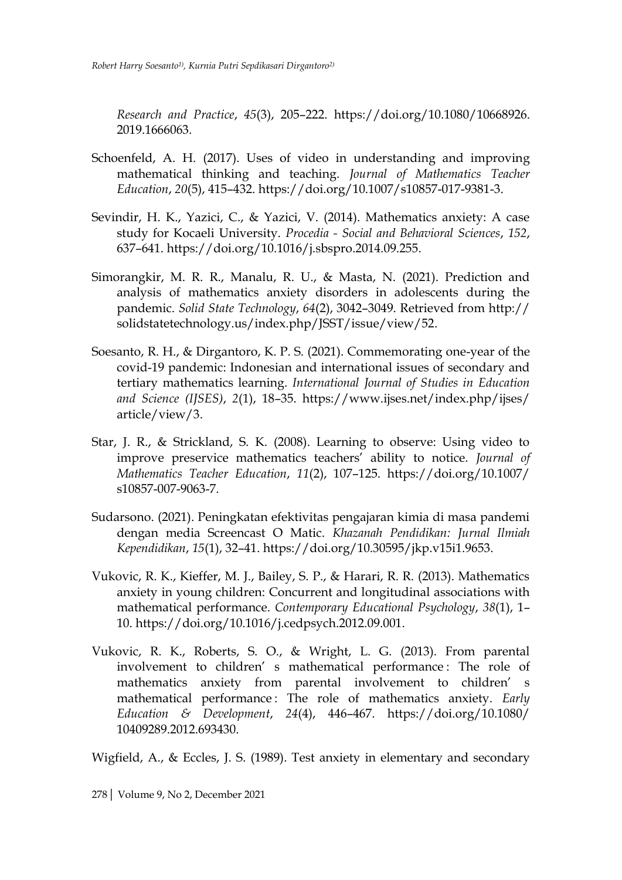*Research and Practice*, *45*(3), 205–222. https://doi.org/10.1080/10668926. 2019.1666063.

- Schoenfeld, A. H. (2017). Uses of video in understanding and improving mathematical thinking and teaching. *Journal of Mathematics Teacher Education*, *20*(5), 415–432. https://doi.org/10.1007/s10857-017-9381-3.
- Sevindir, H. K., Yazici, C., & Yazici, V. (2014). Mathematics anxiety: A case study for Kocaeli University. *Procedia - Social and Behavioral Sciences*, *152*, 637–641. https://doi.org/10.1016/j.sbspro.2014.09.255.
- Simorangkir, M. R. R., Manalu, R. U., & Masta, N. (2021). Prediction and analysis of mathematics anxiety disorders in adolescents during the pandemic. *Solid State Technology*, *64*(2), 3042–3049. Retrieved from http:// solidstatetechnology.us/index.php/JSST/issue/view/52.
- Soesanto, R. H., & Dirgantoro, K. P. S. (2021). Commemorating one-year of the covid-19 pandemic: Indonesian and international issues of secondary and tertiary mathematics learning. *International Journal of Studies in Education and Science (IJSES)*, *2*(1), 18–35. https://www.ijses.net/index.php/ijses/ article/view/3.
- Star, J. R., & Strickland, S. K. (2008). Learning to observe: Using video to improve preservice mathematics teachers' ability to notice. *Journal of Mathematics Teacher Education*, *11*(2), 107–125. https://doi.org/10.1007/ s10857-007-9063-7.
- Sudarsono. (2021). Peningkatan efektivitas pengajaran kimia di masa pandemi dengan media Screencast O Matic. *Khazanah Pendidikan: Jurnal Ilmiah Kependidikan*, *15*(1), 32–41. https://doi.org/10.30595/jkp.v15i1.9653.
- Vukovic, R. K., Kieffer, M. J., Bailey, S. P., & Harari, R. R. (2013). Mathematics anxiety in young children: Concurrent and longitudinal associations with mathematical performance. *Contemporary Educational Psychology*, *38*(1), 1– 10. https://doi.org/10.1016/j.cedpsych.2012.09.001.
- Vukovic, R. K., Roberts, S. O., & Wright, L. G. (2013). From parental involvement to children' s mathematical performance : The role of mathematics anxiety from parental involvement to children' s mathematical performance : The role of mathematics anxiety. *Early Education & Development*, *24*(4), 446–467. https://doi.org/10.1080/ 10409289.2012.693430.

Wigfield, A., & Eccles, J. S. (1989). Test anxiety in elementary and secondary

278| Volume 9, No 2, December 2021